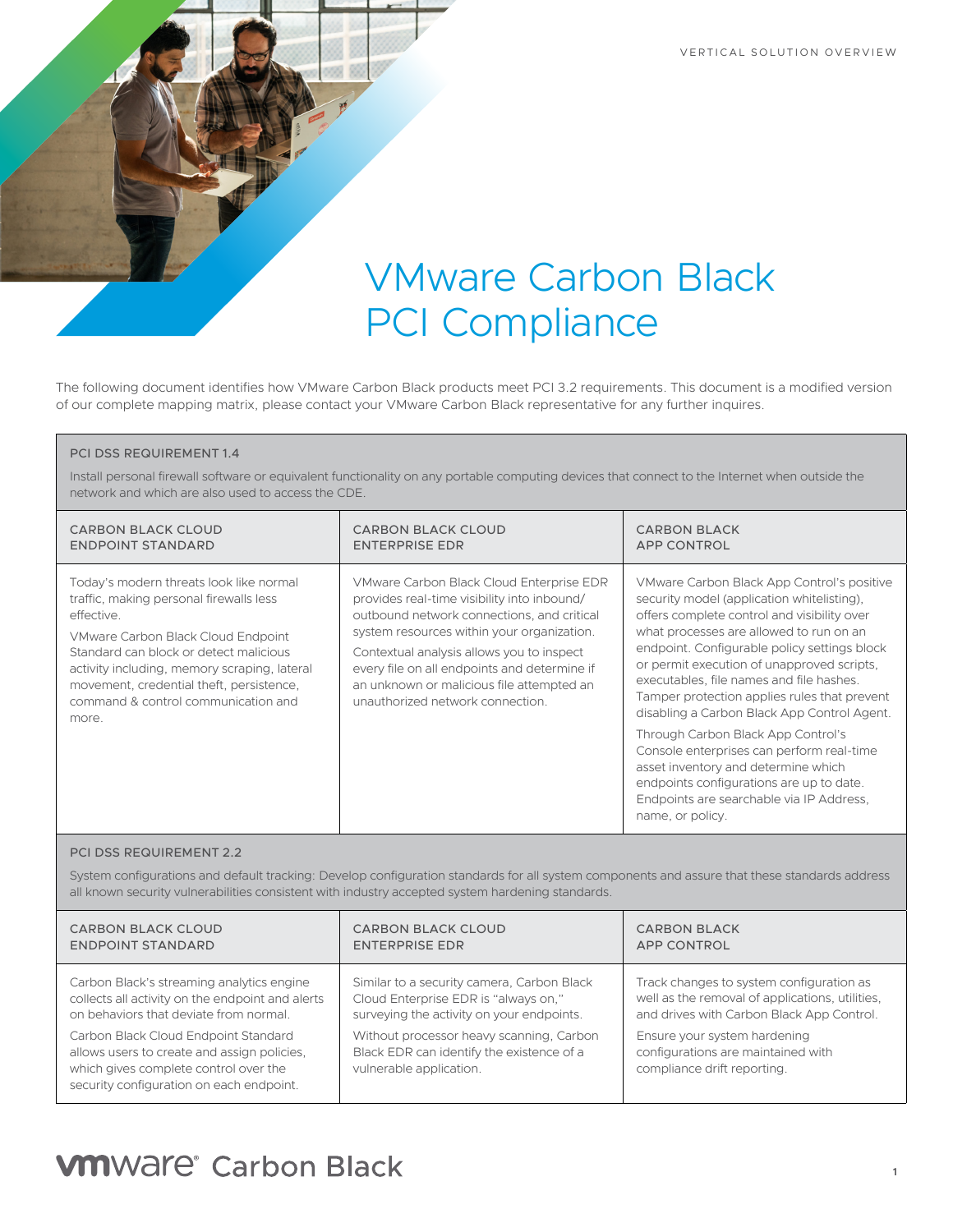VERTICAL SOLUTION OVERVIEW

# VMware Carbon Black PCI Compliance

The following document identifies how VMware Carbon Black products meet PCI 3.2 requirements. This document is a modified version of our complete mapping matrix, please contact your VMware Carbon Black representative for any further inquires.

#### PCI DSS REQUIREMENT 1.4

Install personal firewall software or equivalent functionality on any portable computing devices that connect to the Internet when outside the network and which are also used to access the CDE.

| <b>CARBON BLACK CLOUD</b>                                                                                                                                                                                                                                                                                                    | <b>CARBON BLACK CLOUD</b>                                                                                                                                                                                                                                                                                                                                         | <b>CARBON BLACK</b>                                                                                                                                                                                                                                                                                                                                                                                                                                                                                                                                                                                                                                               |
|------------------------------------------------------------------------------------------------------------------------------------------------------------------------------------------------------------------------------------------------------------------------------------------------------------------------------|-------------------------------------------------------------------------------------------------------------------------------------------------------------------------------------------------------------------------------------------------------------------------------------------------------------------------------------------------------------------|-------------------------------------------------------------------------------------------------------------------------------------------------------------------------------------------------------------------------------------------------------------------------------------------------------------------------------------------------------------------------------------------------------------------------------------------------------------------------------------------------------------------------------------------------------------------------------------------------------------------------------------------------------------------|
| ENDPOINT STANDARD                                                                                                                                                                                                                                                                                                            | <b>ENTERPRISE EDR</b>                                                                                                                                                                                                                                                                                                                                             | <b>APP CONTROL</b>                                                                                                                                                                                                                                                                                                                                                                                                                                                                                                                                                                                                                                                |
| Today's modern threats look like normal<br>traffic, making personal firewalls less<br>effective.<br>VMware Carbon Black Cloud Endpoint<br>Standard can block or detect malicious<br>activity including, memory scraping, lateral<br>movement, credential theft, persistence,<br>command & control communication and<br>more. | VMware Carbon Black Cloud Enterprise EDR<br>provides real-time visibility into inbound/<br>outbound network connections, and critical<br>system resources within your organization.<br>Contextual analysis allows you to inspect<br>every file on all endpoints and determine if<br>an unknown or malicious file attempted an<br>unauthorized network connection. | VMware Carbon Black App Control's positive<br>security model (application whitelisting),<br>offers complete control and visibility over<br>what processes are allowed to run on an<br>endpoint. Configurable policy settings block<br>or permit execution of unapproved scripts.<br>executables, file names and file hashes.<br>Tamper protection applies rules that prevent<br>disabling a Carbon Black App Control Agent.<br>Through Carbon Black App Control's<br>Console enterprises can perform real-time<br>asset inventory and determine which<br>endpoints configurations are up to date.<br>Endpoints are searchable via IP Address,<br>name, or policy. |

#### PCI DSS REQUIREMENT 2.2

System configurations and default tracking: Develop configuration standards for all system components and assure that these standards address all known security vulnerabilities consistent with industry accepted system hardening standards.

| <b>CARBON BLACK CLOUD</b>                                                                                                                                                | <b>CARBON BLACK CLOUD</b>                                                                                        | <b>CARBON BLACK</b>                                                                               |
|--------------------------------------------------------------------------------------------------------------------------------------------------------------------------|------------------------------------------------------------------------------------------------------------------|---------------------------------------------------------------------------------------------------|
| <b>ENDPOINT STANDARD</b>                                                                                                                                                 | <b>ENTERPRISE EDR</b>                                                                                            | <b>APP CONTROL</b>                                                                                |
| Carbon Black's streaming analytics engine                                                                                                                                | Similar to a security camera, Carbon Black                                                                       | Track changes to system configuration as                                                          |
| collects all activity on the endpoint and alerts                                                                                                                         | Cloud Enterprise EDR is "always on,"                                                                             | well as the removal of applications, utilities,                                                   |
| on behaviors that deviate from normal.                                                                                                                                   | surveying the activity on your endpoints.                                                                        | and drives with Carbon Black App Control.                                                         |
| Carbon Black Cloud Endpoint Standard<br>allows users to create and assign policies.<br>which gives complete control over the<br>security configuration on each endpoint. | Without processor heavy scanning, Carbon<br>Black EDR can identify the existence of a<br>vulnerable application. | Ensure your system hardening<br>configurations are maintained with<br>compliance drift reporting. |

# **VM**Ware<sup>®</sup> Carbon Black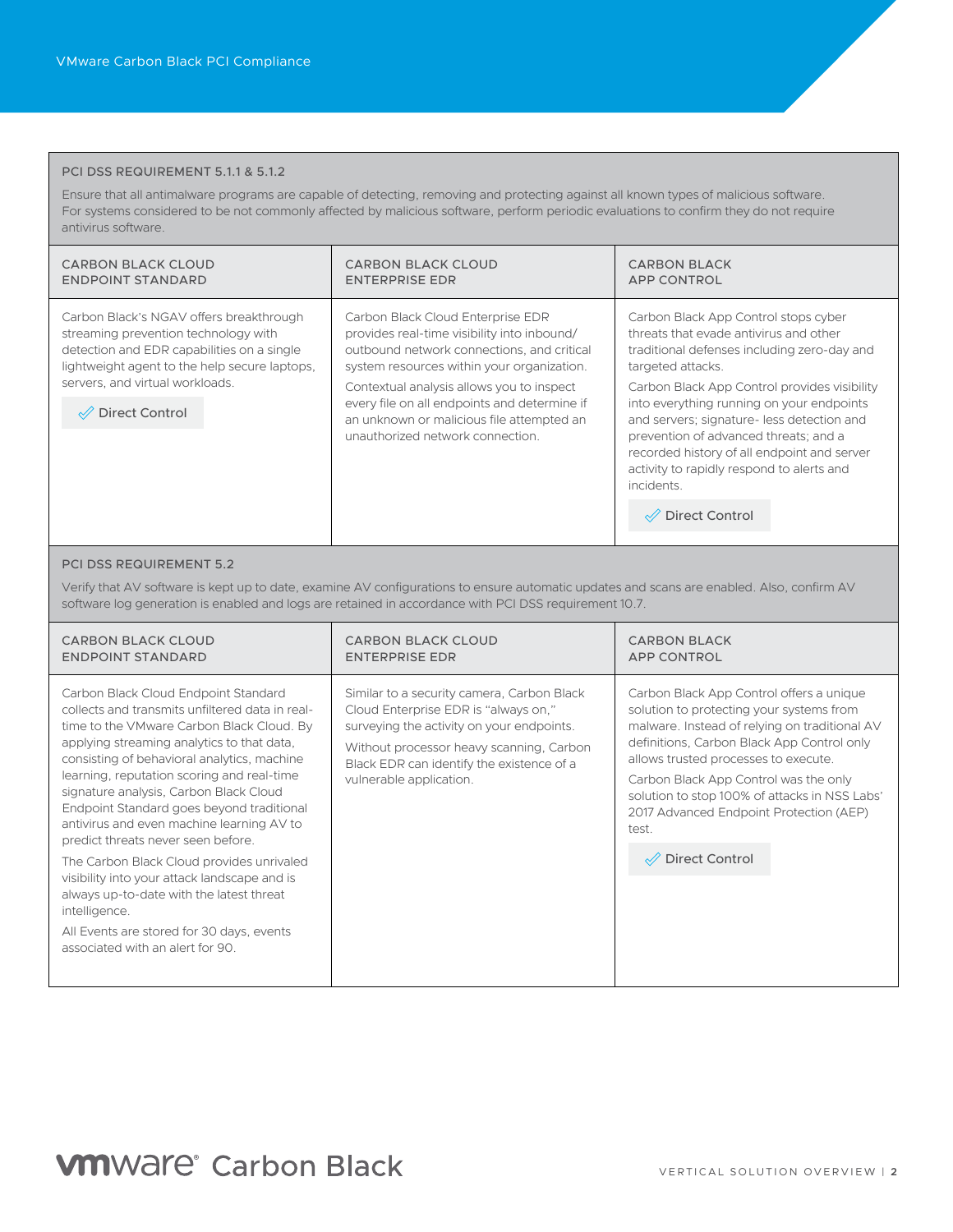#### PCI DSS REQUIREMENT 5.1.1 & 5.1.2

Ensure that all antimalware programs are capable of detecting, removing and protecting against all known types of malicious software. For systems considered to be not commonly affected by malicious software, perform periodic evaluations to confirm they do not require antivirus software.

| CARBON BLACK CLOUD<br><b>ENDPOINT STANDARD</b>                                                                                                                                 | <b>CARBON BLACK CLOUD</b><br><b>ENTERPRISE EDR</b>                                                                                                                           | <b>CARBON BLACK</b><br><b>APP CONTROL</b>                                                                                                                                                                                                                                                 |
|--------------------------------------------------------------------------------------------------------------------------------------------------------------------------------|------------------------------------------------------------------------------------------------------------------------------------------------------------------------------|-------------------------------------------------------------------------------------------------------------------------------------------------------------------------------------------------------------------------------------------------------------------------------------------|
| Carbon Black's NGAV offers breakthrough<br>streaming prevention technology with<br>detection and EDR capabilities on a single<br>lightweight agent to the help secure laptops, | Carbon Black Cloud Enterprise EDR<br>provides real-time visibility into inbound/<br>outbound network connections, and critical<br>system resources within your organization. | Carbon Black App Control stops cyber<br>threats that evade antivirus and other<br>traditional defenses including zero-day and<br>targeted attacks.                                                                                                                                        |
| servers, and virtual workloads.<br>$\mathcal{P}$ Direct Control                                                                                                                | Contextual analysis allows you to inspect<br>every file on all endpoints and determine if<br>an unknown or malicious file attempted an<br>unauthorized network connection.   | Carbon Black App Control provides visibility<br>into everything running on your endpoints<br>and servers; signature-less detection and<br>prevention of advanced threats; and a<br>recorded history of all endpoint and server<br>activity to rapidly respond to alerts and<br>incidents. |
|                                                                                                                                                                                |                                                                                                                                                                              | Direct Control                                                                                                                                                                                                                                                                            |
|                                                                                                                                                                                |                                                                                                                                                                              |                                                                                                                                                                                                                                                                                           |

#### PCI DSS REQUIREMENT 5.2

Verify that AV software is kept up to date, examine AV configurations to ensure automatic updates and scans are enabled. Also, confirm AV software log generation is enabled and logs are retained in accordance with PCI DSS requirement 10.7.

| <b>CARBON BLACK CLOUD</b>                                                                                                                                                                                                                                                                                                                                                                                                                                                                                                                                                                                                                                                                            | <b>CARBON BLACK CLOUD</b>                                                                                                                                                                                                                           | <b>CARBON BLACK</b>                                                                                                                                                                                                                                                                                                                                                                                       |
|------------------------------------------------------------------------------------------------------------------------------------------------------------------------------------------------------------------------------------------------------------------------------------------------------------------------------------------------------------------------------------------------------------------------------------------------------------------------------------------------------------------------------------------------------------------------------------------------------------------------------------------------------------------------------------------------------|-----------------------------------------------------------------------------------------------------------------------------------------------------------------------------------------------------------------------------------------------------|-----------------------------------------------------------------------------------------------------------------------------------------------------------------------------------------------------------------------------------------------------------------------------------------------------------------------------------------------------------------------------------------------------------|
| <b>ENDPOINT STANDARD</b>                                                                                                                                                                                                                                                                                                                                                                                                                                                                                                                                                                                                                                                                             | <b>ENTERPRISE EDR</b>                                                                                                                                                                                                                               | <b>APP CONTROL</b>                                                                                                                                                                                                                                                                                                                                                                                        |
| Carbon Black Cloud Endpoint Standard<br>collects and transmits unfiltered data in real-<br>time to the VMware Carbon Black Cloud. By<br>applying streaming analytics to that data,<br>consisting of behavioral analytics, machine<br>learning, reputation scoring and real-time<br>signature analysis, Carbon Black Cloud<br>Endpoint Standard goes beyond traditional<br>antivirus and even machine learning AV to<br>predict threats never seen before.<br>The Carbon Black Cloud provides unrivaled<br>visibility into your attack landscape and is<br>always up-to-date with the latest threat<br>intelligence.<br>All Events are stored for 30 days, events<br>associated with an alert for 90. | Similar to a security camera, Carbon Black<br>Cloud Enterprise EDR is "always on,"<br>surveying the activity on your endpoints.<br>Without processor heavy scanning, Carbon<br>Black EDR can identify the existence of a<br>vulnerable application. | Carbon Black App Control offers a unique<br>solution to protecting your systems from<br>malware. Instead of relying on traditional AV<br>definitions, Carbon Black App Control only<br>allows trusted processes to execute.<br>Carbon Black App Control was the only<br>solution to stop 100% of attacks in NSS Labs'<br>2017 Advanced Endpoint Protection (AEP)<br>test.<br>$\mathcal{D}$ Direct Control |

### **VM**Ware<sup>®</sup> Carbon Black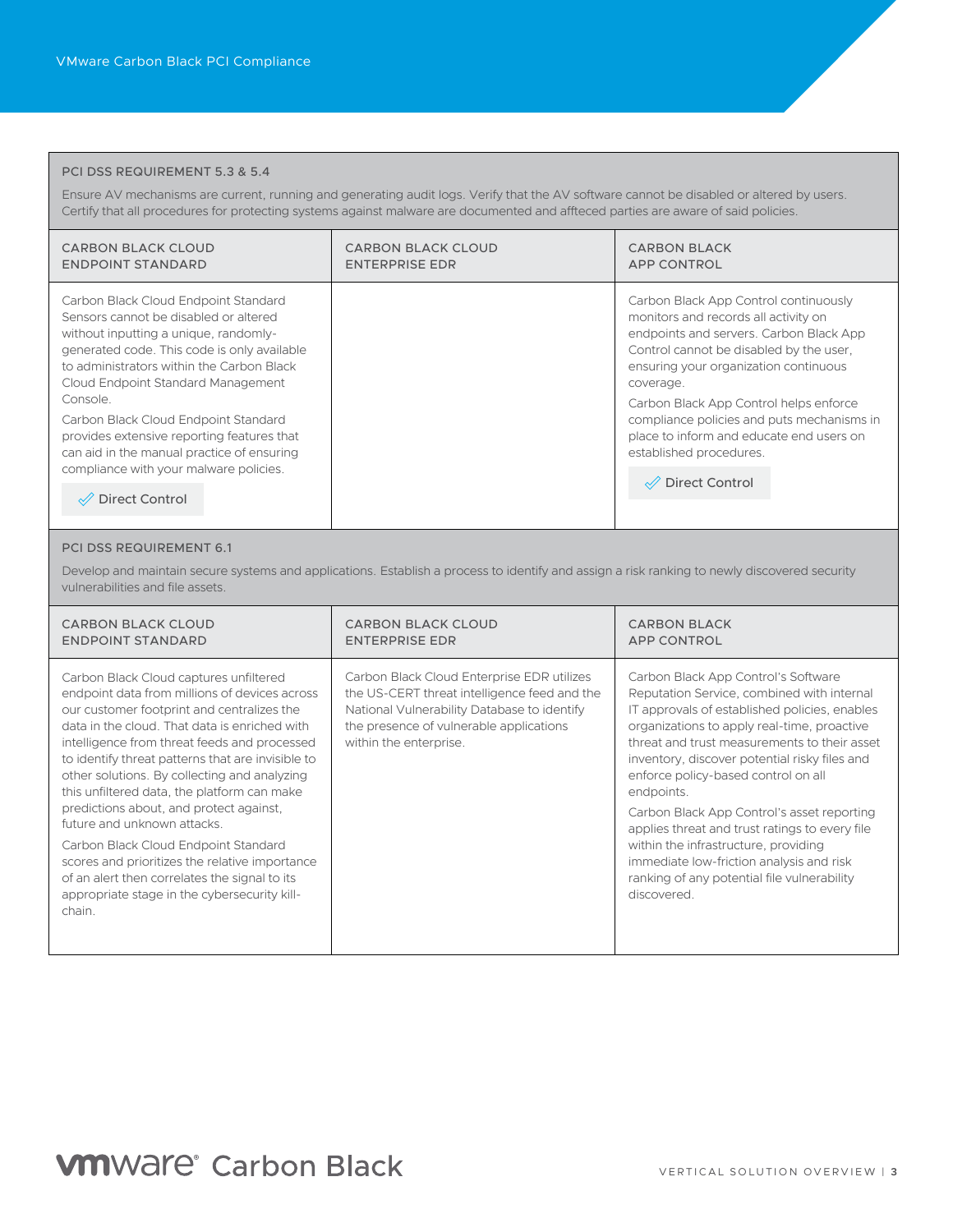#### PCI DSS REQUIREMENT 5.3 & 5.4

Ensure AV mechanisms are current, running and generating audit logs. Verify that the AV software cannot be disabled or altered by users. Certify that all procedures for protecting systems against malware are documented and affteced parties are aware of said policies.

| CARBON BLACK CLOUD<br><b>ENDPOINT STANDARD</b>                                                                                                                                                                                                           | <b>CARBON BLACK CLOUD</b><br><b>ENTERPRISE EDR</b> | <b>CARBON BLACK</b><br><b>APP CONTROL</b>                                                                                                                                                                                 |
|----------------------------------------------------------------------------------------------------------------------------------------------------------------------------------------------------------------------------------------------------------|----------------------------------------------------|---------------------------------------------------------------------------------------------------------------------------------------------------------------------------------------------------------------------------|
| Carbon Black Cloud Endpoint Standard<br>Sensors cannot be disabled or altered<br>without inputting a unique, randomly-<br>generated code. This code is only available<br>to administrators within the Carbon Black<br>Cloud Endpoint Standard Management |                                                    | Carbon Black App Control continuously<br>monitors and records all activity on<br>endpoints and servers. Carbon Black App<br>Control cannot be disabled by the user,<br>ensuring your organization continuous<br>coverage. |
| Console.<br>Carbon Black Cloud Endpoint Standard<br>provides extensive reporting features that<br>can aid in the manual practice of ensuring<br>compliance with your malware policies.                                                                   |                                                    | Carbon Black App Control helps enforce<br>compliance policies and puts mechanisms in<br>place to inform and educate end users on<br>established procedures.<br>√ Direct Control                                           |
| <b>Direct Control</b>                                                                                                                                                                                                                                    |                                                    |                                                                                                                                                                                                                           |

#### PCI DSS REQUIREMENT 6.1

Develop and maintain secure systems and applications. Establish a process to identify and assign a risk ranking to newly discovered security vulnerabilities and file assets.

| CARBON BLACK CLOUD                                                                                                                                                                                                                                                                                                                                                                                                                                                                                                                                                                                                                                                        | <b>CARBON BLACK CLOUD</b>                                                                                                                                                                                      | <b>CARBON BLACK</b>                                                                                                                                                                                                                                                                                                                                                                                                                                                                                                                                                                       |
|---------------------------------------------------------------------------------------------------------------------------------------------------------------------------------------------------------------------------------------------------------------------------------------------------------------------------------------------------------------------------------------------------------------------------------------------------------------------------------------------------------------------------------------------------------------------------------------------------------------------------------------------------------------------------|----------------------------------------------------------------------------------------------------------------------------------------------------------------------------------------------------------------|-------------------------------------------------------------------------------------------------------------------------------------------------------------------------------------------------------------------------------------------------------------------------------------------------------------------------------------------------------------------------------------------------------------------------------------------------------------------------------------------------------------------------------------------------------------------------------------------|
| <b>ENDPOINT STANDARD</b>                                                                                                                                                                                                                                                                                                                                                                                                                                                                                                                                                                                                                                                  | <b>ENTERPRISE EDR</b>                                                                                                                                                                                          | <b>APP CONTROL</b>                                                                                                                                                                                                                                                                                                                                                                                                                                                                                                                                                                        |
| Carbon Black Cloud captures unfiltered<br>endpoint data from millions of devices across<br>our customer footprint and centralizes the<br>data in the cloud. That data is enriched with<br>intelligence from threat feeds and processed<br>to identify threat patterns that are invisible to<br>other solutions. By collecting and analyzing<br>this unfiltered data, the platform can make<br>predictions about, and protect against,<br>future and unknown attacks.<br>Carbon Black Cloud Endpoint Standard<br>scores and prioritizes the relative importance<br>of an alert then correlates the signal to its<br>appropriate stage in the cybersecurity kill-<br>chain. | Carbon Black Cloud Enterprise EDR utilizes<br>the US-CERT threat intelligence feed and the<br>National Vulnerability Database to identify<br>the presence of vulnerable applications<br>within the enterprise. | Carbon Black App Control's Software<br>Reputation Service, combined with internal<br>IT approvals of established policies, enables<br>organizations to apply real-time, proactive<br>threat and trust measurements to their asset<br>inventory, discover potential risky files and<br>enforce policy-based control on all<br>endpoints.<br>Carbon Black App Control's asset reporting<br>applies threat and trust ratings to every file<br>within the infrastructure, providing<br>immediate low-friction analysis and risk<br>ranking of any potential file vulnerability<br>discovered. |

## **VM**Ware<sup>®</sup> Carbon Black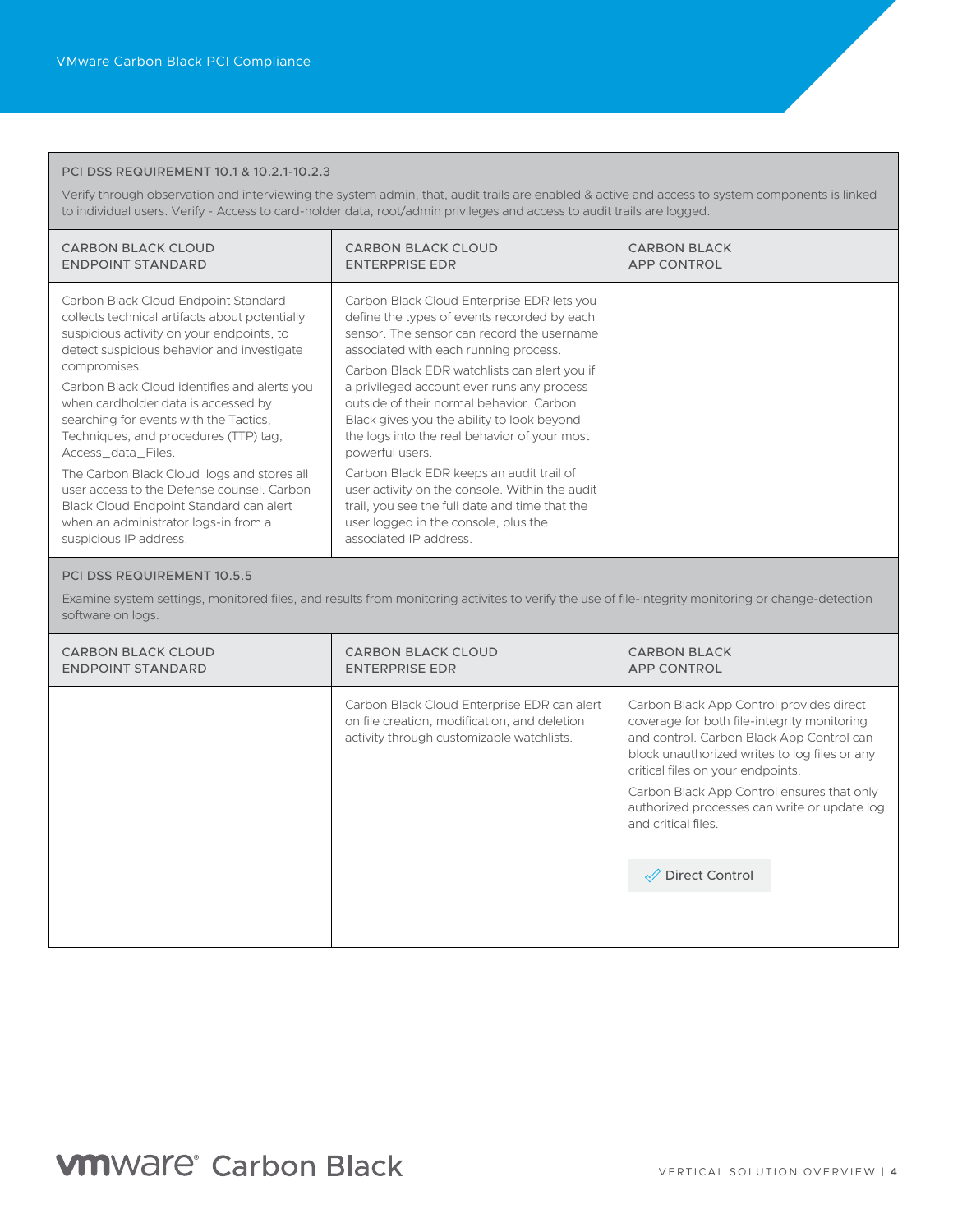#### PCI DSS REQUIREMENT 10.1 & 10.2.1-10.2.3

Verify through observation and interviewing the system admin, that, audit trails are enabled & active and access to system components is linked to individual users. Verify - Access to card-holder data, root/admin privileges and access to audit trails are logged.

| <b>CARBON BLACK CLOUD</b><br><b>ENDPOINT STANDARD</b>                                                                                                                                                 | <b>CARBON BLACK CLOUD</b><br><b>ENTERPRISE EDR</b>                                                                                                                                                                               | <b>CARBON BLACK</b><br><b>APP CONTROL</b> |
|-------------------------------------------------------------------------------------------------------------------------------------------------------------------------------------------------------|----------------------------------------------------------------------------------------------------------------------------------------------------------------------------------------------------------------------------------|-------------------------------------------|
| Carbon Black Cloud Endpoint Standard<br>collects technical artifacts about potentially<br>suspicious activity on your endpoints, to<br>detect suspicious behavior and investigate<br>compromises.     | Carbon Black Cloud Enterprise EDR lets you<br>define the types of events recorded by each<br>sensor. The sensor can record the username<br>associated with each running process.<br>Carbon Black EDR watchlists can alert you if |                                           |
| Carbon Black Cloud identifies and alerts you<br>when cardholder data is accessed by<br>searching for events with the Tactics,<br>Techniques, and procedures (TTP) tag.<br>Access_data_Files.          | a privileged account ever runs any process<br>outside of their normal behavior. Carbon<br>Black gives you the ability to look beyond<br>the logs into the real behavior of your most<br>powerful users.                          |                                           |
| The Carbon Black Cloud logs and stores all<br>user access to the Defense counsel. Carbon<br>Black Cloud Endpoint Standard can alert<br>when an administrator logs-in from a<br>suspicious IP address. | Carbon Black EDR keeps an audit trail of<br>user activity on the console. Within the audit<br>trail, you see the full date and time that the<br>user logged in the console, plus the<br>associated IP address.                   |                                           |

#### PCI DSS REQUIREMENT 10.5.5

Examine system settings, monitored files, and results from monitoring activites to verify the use of file-integrity monitoring or change-detection software on logs.

| CARBON BLACK CLOUD       | <b>CARBON BLACK CLOUD</b>                                                                                                                | <b>CARBON BLACK</b>                                                                                                                                                                                                                                                                                                                                                 |
|--------------------------|------------------------------------------------------------------------------------------------------------------------------------------|---------------------------------------------------------------------------------------------------------------------------------------------------------------------------------------------------------------------------------------------------------------------------------------------------------------------------------------------------------------------|
| <b>ENDPOINT STANDARD</b> | <b>ENTERPRISE EDR</b>                                                                                                                    | <b>APP CONTROL</b>                                                                                                                                                                                                                                                                                                                                                  |
|                          | Carbon Black Cloud Enterprise EDR can alert<br>on file creation, modification, and deletion<br>activity through customizable watchlists. | Carbon Black App Control provides direct<br>coverage for both file-integrity monitoring<br>and control. Carbon Black App Control can<br>block unauthorized writes to log files or any<br>critical files on your endpoints.<br>Carbon Black App Control ensures that only<br>authorized processes can write or update log<br>and critical files.<br>√ Direct Control |